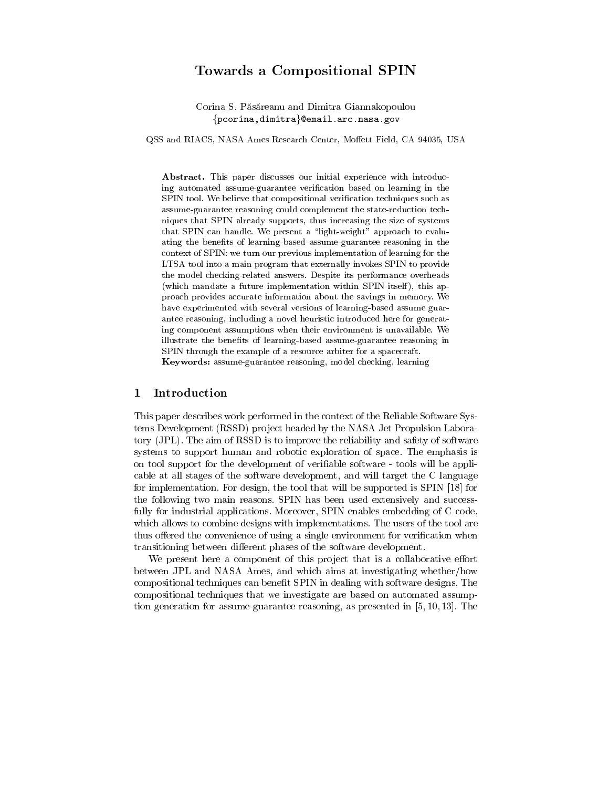# Towards <sup>a</sup> Compositional SPIN

Corina S. Pasareanu and Dimitra Giannakopoulou {pcorina,dimitra}@email.arc.nasa.gov

QSS and RIACS, NASA Ames Research Center, Moffett Field, CA 94035, USA

Abstract. This paper discusses our initial experience with introducing automated assume-guarantee verification based on learning in the SPIN tool. We believe that compositional verification techniques such as assume-guarantee reasoning could complement the state-reduction techniques that SPIN already supports, thus increasing the size of systems that SPIN can handle. We present a \light-weight" approach to evaluating the benets of learning-based assume-guarantee reasoning in the context of SPIN: we turn our previous implementation of learning for the LTSA tool into a main program that externally invokes SPIN to provide the model checking-related answers. Despite its performance overheads (which mandate a future implementation within SPIN itself ), this approach provides accurate information about the savings in memory. We have experimented with several versions of learning-based assume guar antee reasoning, including a novel heuristic introduced here for generating component assumptions when their environment is unavailable. We illustrate the benefits of learning-based assume-guarantee reasoning in SPIN through the example of a resource arbiter for a spacecraft. Keywords: assume-guarantee reasoning, model checking, learning

#### **Introduction** 1

This paper describes work performed in the context of the Reliable Software Systems Development (RSSD) pro ject headed by the NASA Jet Propulsion Laboratory (JPL). The aim of RSSD is to improve the reliability and safety of software systems to support human and robotic exploration of space. The emphasis is on tool support for the development of veriable software - tools will be applicable at all stages of the software development, and will target the C language for implementation. For design, the tool that will be supported is SPIN [18] for the following two main reasons. SPIN has been used extensively and successfully for industrial applications. Moreover, SPIN enables embedding of C code, which allows to combine designs with implementations. The users of the tool are thus offered the convenience of using a single environment for verification when transitioning between different phases of the software development.

We present here a component of this project that is a collaborative effort between JPL and NASA Ames, and which aims at investigating whether/how compositional techniques can benet SPIN in dealing with software designs. The compositional techniques that we investigate are based on automated assumption generation for assume-guarantee reasoning, as presented in [5, 10, 13]. The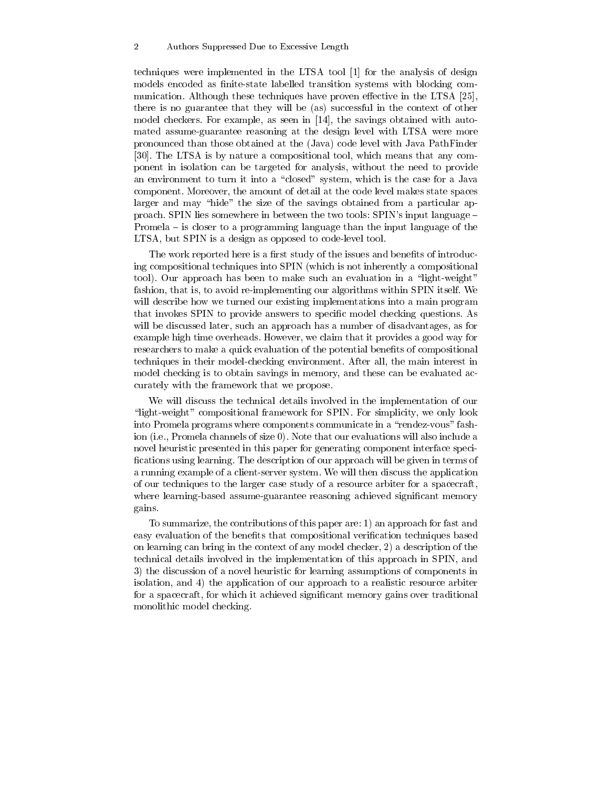techniques were implemented in the LTSA tool [1] for the analysis of design models encoded as finite-state labelled transition systems with blocking communication. Although these techniques have proven effective in the LTSA [25], there is no guarantee that they will be (as) successful in the context of other model checkers. For example, as seen in [14], the savings obtained with automated assume-guarantee reasoning at the design level with LTSA were more pronounced than those obtained at the (Java) code level with Java PathFinder [30]. The LTSA is by nature a compositional tool, which means that any component in isolation can be targeted for analysis, without the need to provide an environment to turn it into a "closed" system, which is the case for a Java component. Moreover, the amount of detail at the code level makes state spaces larger and may "hide" the size of the savings obtained from a particular approach. SPIN lies somewhere in between the two tools: SPIN's input language  $-$ Promela  $-$  is closer to a programming language than the input language of the LTSA, but SPIN is a design as opposed to code-level tool.

The work reported here is a first study of the issues and benefits of introducing compositional techniques into SPIN (which is not inherently a compositional tool). Our approach has been to make such an evaluation in a \light-weight" fashion, that is, to avoid re-implementing our algorithms within SPIN itself. We will describe how we turned our existing implementations into a main program that invokes SPIN to provide answers to specic model checking questions. As will be discussed later, such an approach has a number of disadvantages, as for example high time overheads. However, we claim that it provides a good way for researchers to make a quick evaluation of the potential benefits of compositional techniques in their model-checking environment. After all, the main interest in model checking is to obtain savings in memory, and these can be evaluated accurately with the framework that we propose.

We will discuss the technical details involved in the implementation of our \light-weight" compositional framework for SPIN. For simplicity, we only look into Promela programs where components communicate in a "rendez-vous" fashion (i.e., Promela channels of size 0). Note that our evaluations will also include a novel heuristic presented in this paper for generating component interface speci fications using learning. The description of our approach will be given in terms of a running example of a client-server system. We will then discuss the application of our techniques to the larger case study of a resource arbiter for a spacecraft, where learning-based assume-guarantee reasoning achieved significant memory gains.

To summarize, the contributions of this paper are: 1) an approach for fast and easy evaluation of the benefits that compositional verification techniques based on learning can bring in the context of any model checker, 2) a description of the technical details involved in the implementation of this approach in SPIN, and 3) the discussion of a novel heuristic for learning assumptions of components in isolation, and 4) the application of our approach to a realistic resource arbiter for a spacecraft, for which it achieved signicant memory gains over traditional monolithic model checking.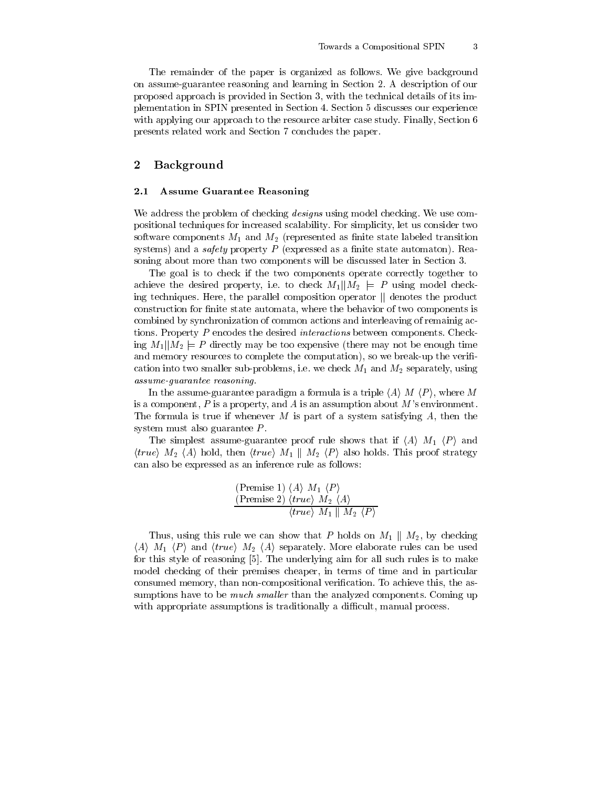The remainder of the paper is organized as follows. We give background on assume-guarantee reasoning and learning in Section 2. A description of our proposed approach is provided in Section 3, with the technical details of its implementation in SPIN presented in Section 4. Section 5 discusses our experience with applying our approach to the resource arbiter case study. Finally, Section 6 presents related work and Section 7 concludes the paper.

### 2 Background

#### 2.1 Assume Guarantee Reasoning

We address the problem of checking *designs* using model checking. We use compositional techniques for increased scalability. For simplicity, let us consider two software components  $M_1$  and  $M_2$  (represented as finite state labeled transition systems) and a *safety* property  $P$  (expressed as a finite state automaton). Reasoning about more than two components will be discussed later in Section 3.

The goal is to check if the two components operate correctly together to achieve the desired property, i.e. to check  $M_1||M_2| = P$  using model checking techniques. Here, the parallel composition operator  $\parallel$  denotes the product construction for finite state automata, where the behavior of two components is combined by synchronization of common actions and interleaving of remainig actions. Property P encodes the desired *interactions* between components. Checking  $M_1||M_2| = P$  directly may be too expensive (there may not be enough time and memory resources to complete the computation), so we break-up the verification into two smaller sub-problems, i.e. we check  $M_1$  and  $M_2$  separately, using assume-guarantee reasoning.

In the assume-guarantee paradigm a formula is a triple  $\langle A \rangle$  M  $\langle P \rangle$ , where M is a component, P is a property, and A is an assumption about  $M$ 's environment. The formula is true if whenever  $M$  is part of a system satisfying  $A$ , then the system must also guarantee  $P$ .

The simplest assume-guarantee proof rule shows that if  $\langle A \rangle M_1 \langle P \rangle$  and  $\langle true \rangle$   $M_2$   $\langle A \rangle$  hold, then  $\langle true \rangle$   $M_1 \parallel M_2 \langle P \rangle$  also holds. This proof strategy can also be expressed as an inference rule as follows:

(Premise 1) 
$$
\langle A \rangle M_1 \langle P \rangle
$$
  
\n(Premise 2)  $\langle true \rangle M_2 \langle A \rangle$   
\n $\langle true \rangle M_1 || M_2 \langle P \rangle$ 

Thus, using this rule we can show that P holds on  $M_1 \parallel M_2$ , by checking  $\langle A \rangle$   $M_1$   $\langle P \rangle$  and  $\langle true \rangle$   $M_2$   $\langle A \rangle$  separately. More elaborate rules can be used for this style of reasoning [5]. The underlying aim for all such rules is to make model checking of their premises cheaper, in terms of time and in particular consumed memory, than non-compositional verification. To achieve this, the assumptions have to be *much smaller* than the analyzed components. Coming up with appropriate assumptions is traditionally a difficult, manual process.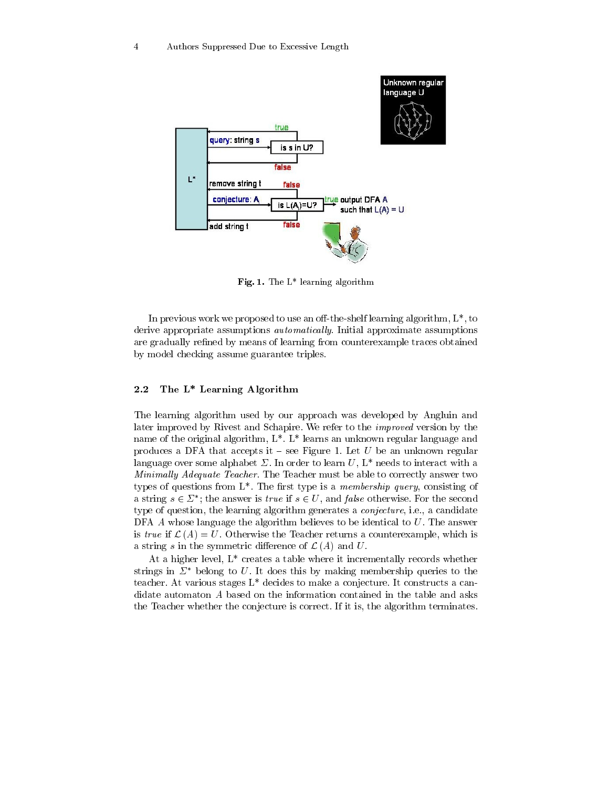

Fig. 1. The L\* learning algorithm

In previous work we proposed to use an off-the-shelf learning algorithm,  $L^*$ , to derive appropriate assumptions *automatically*. Initial approximate assumptions are gradually refined by means of learning from counterexample traces obtained by model checking assume guarantee triples.

## 2.2 The L\* Learning Algorithm

The learning algorithm used by our approach was developed by Angluin and later improved by Rivest and Schapire. We refer to the improved version by the name of the original algorithm, L\*. L\* learns an unknown regular language and produces a DFA that accepts it  $-$  see Figure 1. Let U be an unknown regular language over some alphabet  $\Sigma$ . In order to learn U, L<sup>\*</sup> needs to interact with a Minimally Adequate Teacher. The Teacher must be able to correctly answer two types of questions from  $L^*$ . The first type is a *membership query*, consisting of a string  $s \in \Sigma^*$ ; the answer is true if  $s \in U$ , and false otherwise. For the second type of question, the learning algorithm generates a *conjecture*, i.e., a candidate DFA A whose language the algorithm believes to be identical to  $U$ . The answer is true if  $\mathcal{L}(A) = U$ . Otherwise the Teacher returns a counterexample, which is a string s in the symmetric difference of  $\mathcal{L}(A)$  and U.

At a higher level,  $L^*$  creates a table where it incrementally records whether strings in  $\Sigma^*$  belong to U. It does this by making membership queries to the teacher. At various stages L\* decides to make a conjecture. It constructs a candidate automaton A based on the information contained in the table and asks the Teacher whether the conjecture is correct. If it is, the algorithm terminates.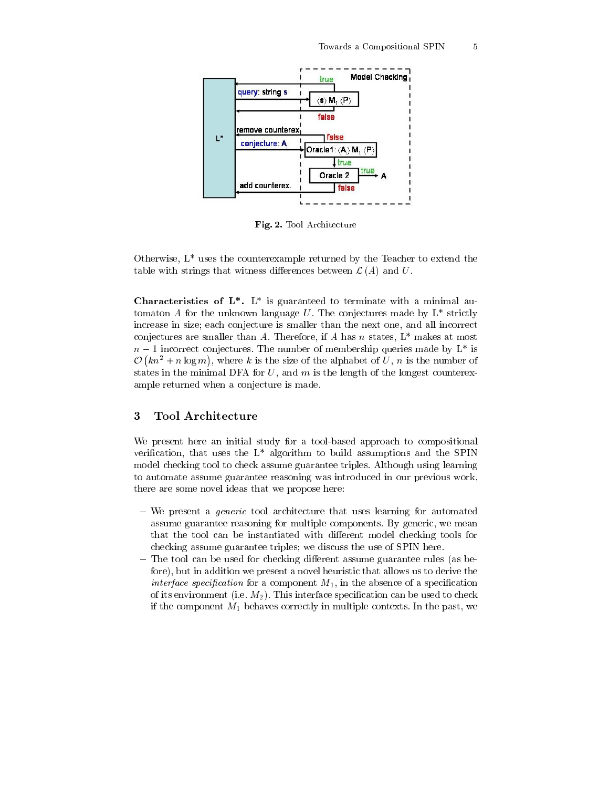

Fig. 2. Tool Architecture

Otherwise, L\* uses the counterexample returned by the Teacher to extend the table with strings that witness differences between  $\mathcal{L}(A)$  and U.

Characteristics of  $L^*$ .  $L^*$  is guaranteed to terminate with a minimal automaton A for the unknown language U. The conjectures made by  $L^*$  strictly increase in size; each conjecture is smaller than the next one, and all incorrect conjectures are smaller than A. Therefore, if A has n states,  $L^*$  makes at most  $n-1$  incorrect conjectures. The number of membership queries made by  $L^*$  is  $\mathcal{O}\left(kn^2 + n\log m\right)$ , where k is tl , where k is the size of the size of the alphabet of  $\mathbf{F}$  is the number of U, n is the number of  $\mathbf{F}$ states in the minimal DFA for  $U$ , and  $m$  is the length of the longest counterexample returned when a conjecture is made.

#### 3 Tool Architecture

We present here an initial study for a tool-based approach to compositional verification, that uses the  $L^*$  algorithm to build assumptions and the SPIN model checking tool to check assume guarantee triples. Although using learning to automate assume guarantee reasoning was introduced in our previous work, there are some novel ideas that we propose here:

- ${\bf -}$  We present a *generic* tool architecture that uses learning for automated assume guarantee reasoning for multiple components. By generic, we mean that the tool can be instantiated with different model checking tools for checking assume guarantee triples; we discuss the use of SPIN here.
- ${\rm -}$  The tool can be used for checking different assume guarantee rules (as before), but in addition we present a novel heuristic that allows us to derive the *interface specification* for a component  $M_1$ , in the absence of a specification of its environment (i.e.  $M_2$ ). This interface specification can be used to check if the component  $M_1$  behaves correctly in multiple contexts. In the past, we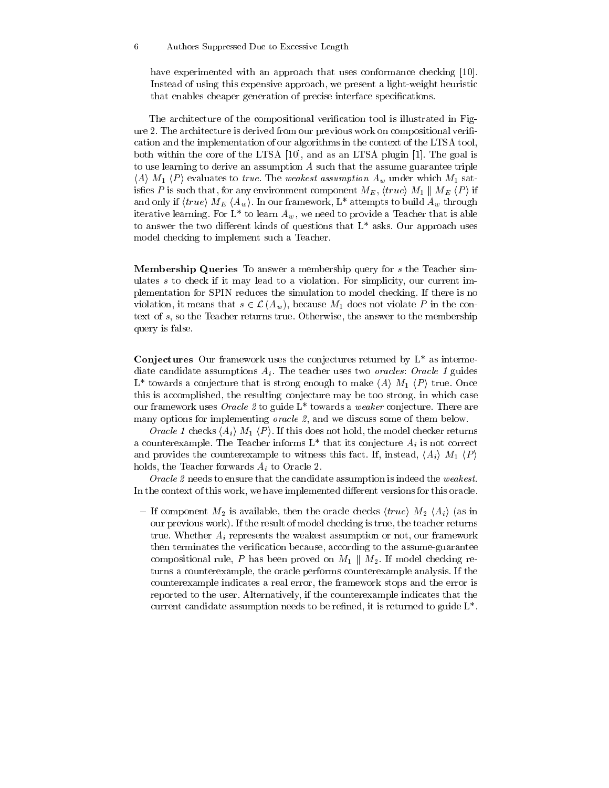have experimented with an approach that uses conformance checking [10]. Instead of using this expensive approach, we present a light-weight heuristic that enables cheaper generation of precise interface specications.

The architecture of the compositional verification tool is illustrated in Figure 2. The architecture is derived from our previous work on compositional veri cation and the implementation of our algorithms in the context of the LTSA tool, both within the core of the LTSA [10], and as an LTSA plugin [1]. The goal is to use learning to derive an assumption  $A$  such that the assume guarantee triple  $\langle A \rangle$  M<sub>1</sub>  $\langle P \rangle$  evaluates to *true*. The *weakest assumption*  $A_w$  under which  $M_1$  satisfies P is such that, for any environment component  $M_E$ ,  $\langle true \rangle M_1 \parallel M_E \langle P \rangle$  if and only if  $\langle true \rangle$   $M_E \langle A_w \rangle$ . In our framework, L<sup>\*</sup> attempts to build  $A_w$  through iterative learning. For  $L^*$  to learn  $A_w$ , we need to provide a Teacher that is able to answer the two different kinds of questions that  $L^*$  asks. Our approach uses model checking to implement such a Teacher.

Membership Queries To answer a membership query for s the Teacher simulates s to check if it may lead to a violation. For simplicity, our current implementation for SPIN reduces the simulation to model checking. If there is no violation, it means that  $s \in \mathcal{L}(A_w)$ , because  $M_1$  does not violate P in the context of s, so the Teacher returns true. Otherwise, the answer to the membership query is false.

**Conjectures** Our framework uses the conjectures returned by  $L^*$  as intermediate candidate assumptions  $A_i$ . The teacher uses two *oracles*: Oracle 1 guides  $L^*$  towards a conjecture that is strong enough to make  $\langle A \rangle$   $M_1$   $\langle P \rangle$  true. Once this is accomplished, the resulting conjecture may be too strong, in which case our framework uses  $Oracle\text{ 2 to guide } L^*$  towards a *weaker* conjecture. There are many options for implementing *oracle 2*, and we discuss some of them below.

Oracle 1 checks  $\langle A_i \rangle M_1 \langle P \rangle$ . If this does not hold, the model checker returns a counterexample. The Teacher informs  $L^*$  that its conjecture  $A_i$  is not correct and provides the counterexample to witness this fact. If, instead,  $\langle A_i \rangle M_1 \langle P \rangle$ holds, the Teacher forwards  $A_i$  to Oracle 2.

Oracle 2 needs to ensure that the candidate assumption is indeed the weakest. In the context of this work, we have implemented different versions for this oracle.

- If component  $M_2$  is available, then the oracle checks  $\langle true \rangle$   $M_2 \langle A_i \rangle$  (as in our previous work). If the result of model checking is true, the teacher returns true. Whether  $A_i$  represents the weakest assumption or not, our framework then terminates the verification because, according to the assume-guarantee compositional rule, P has been proved on  $M_1 \parallel M_2$ . If model checking returns a counterexample, the oracle performs counterexample analysis. If the counterexample indicates a real error, the framework stops and the error is reported to the user. Alternatively, if the counterexample indicates that the current candidate assumption needs to be refined, it is returned to guide  $L^*$ .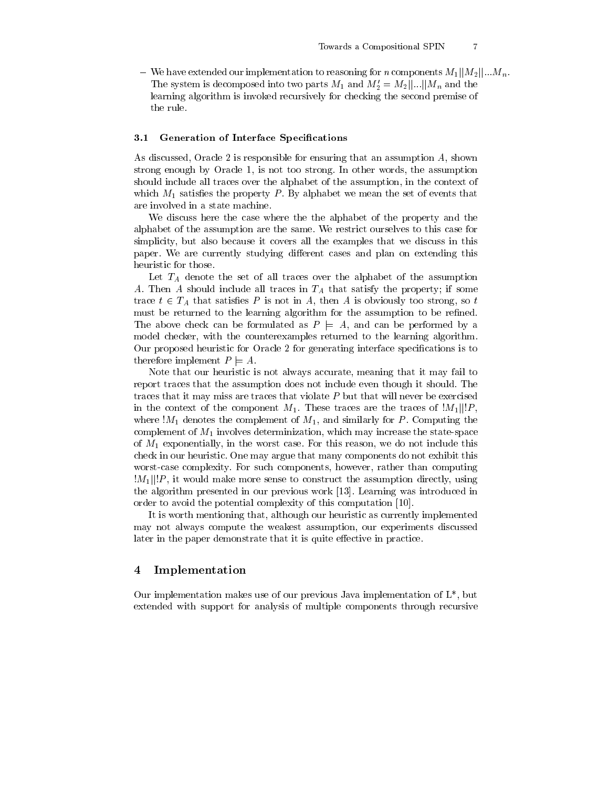${\rm -}$  We have extended our implementation to reasoning for n components  $M_1||M_2||...M_n$ . The system is decomposed into two parts  $M_1$  and  $M_2' = M_2 \dots |M_n$  and the learning algorithm is invoked recursively for checking the second premise of the rule.

#### 3.1 Generation of Interface Specifications

As discussed, Oracle 2 is responsible for ensuring that an assumption A, shown strong enough by Oracle 1, is not too strong. In other words, the assumption should include all traces over the alphabet of the assumption, in the context of which  $M_1$  satisfies the property P. By alphabet we mean the set of events that are involved in a state machine.

We discuss here the case where the the alphabet of the property and the alphabet of the assumption are the same. We restrict ourselves to this case for simplicity, but also because it covers all the examples that we discuss in this paper. We are currently studying different cases and plan on extending this heuristic for those.

Let  $T_A$  denote the set of all traces over the alphabet of the assumption A. Then A should include all traces in  $T_A$  that satisfy the property; if some trace  $t \in T_A$  that satisfies P is not in A, then A is obviously too strong, so t must be returned to the learning algorithm for the assumption to be refined. The above check can be formulated as  $P \models A$ , and can be performed by a model checker, with the counterexamples returned to the learning algorithm. Our proposed heuristic for Oracle 2 for generating interface specifications is to therefore implement  $P \models A$ .

Note that our heuristic is not always accurate, meaning that it may fail to report traces that the assumption does not include even though it should. The traces that it may miss are traces that violate P but that will never be exercised in the context of the component  $M_1$ . These traces are the traces of  $|M_1|| |P|$ , where  $!M_1$  denotes the complement of  $M_1$ , and similarly for P. Computing the complement of  $M_1$  involves determinization, which may increase the state-space of  $M_1$  exponentially, in the worst case. For this reason, we do not include this check in our heuristic. One may argue that many components do not exhibit this worst-case complexity. For such components, however, rather than computing  $|M_1||P$ , it would make more sense to construct the assumption directly, using the algorithm presented in our previous work [13]. Learning was introduced in order to avoid the potential complexity of this computation [10].

It is worth mentioning that, although our heuristic as currently implemented may not always compute the weakest assumption, our experiments discussed later in the paper demonstrate that it is quite effective in practice.

#### 4 Implementation

Our implementation makes use of our previous Java implementation of L\*, but extended with support for analysis of multiple components through recursive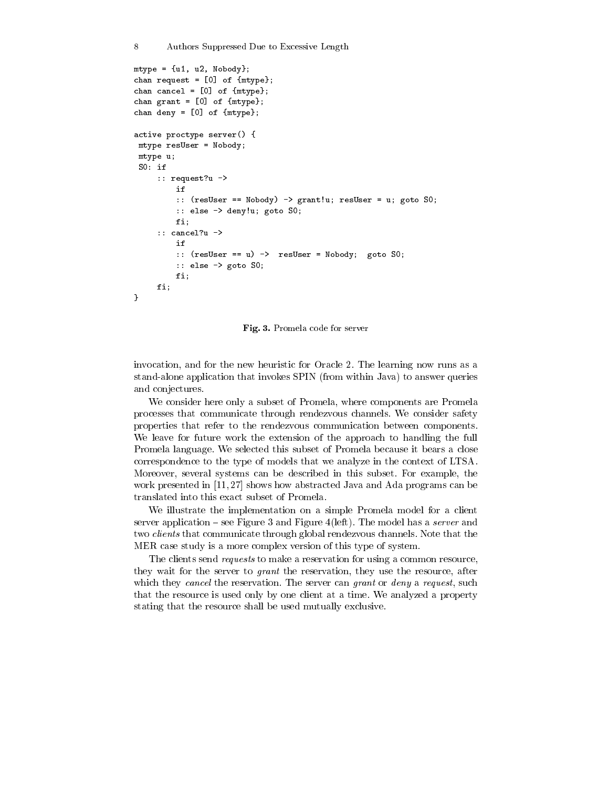```
mtype = {u1, u2, Nobody};chan request = [0] of {mtype};
chan cancel = [0] of {mtype};
chan grant = [0] of {mtype};chan deny = [0] of {mtype};
active proctype server() {
 mtype resUser = Nobody;
 mtype u;
 S0: if
       :: request?u ->
             if
             :: (resUser == Nobody) -> grant!u; resUser = u; goto S0;
             :: else -> deny!u; goto S0;
             fi;
       :: cancel?u ->
             :: (resUser == u) -> resUser = Nobody; goto S0;
             :: else -> goto S0;
             fi;
        figure 1. The contract of the contract of the contract of the contract of the contract of the contract of the contract of the contract of the contract of the contract of the contract of the contract of the contract of the 
}
```
Fig. 3. Promela code for server

invocation, and for the new heuristic for Oracle 2. The learning now runs as a stand-alone application that invokes SPIN (from within Java) to answer queries and conjectures.

We consider here only a subset of Promela, where components are Promela processes that communicate through rendezvous channels. We consider safety properties that refer to the rendezvous communication between components. We leave for future work the extension of the approach to handling the full Promela language. We selected this subset of Promela because it bears a close correspondence to the type of models that we analyze in the context of LTSA. Moreover, several systems can be described in this subset. For example, the work presented in [11, 27] shows how abstracted Java and Ada programs can be translated into this exact subset of Promela.

We illustrate the implementation on a simple Promela model for a client server application  $-$  see Figure 3 and Figure 4(left). The model has a server and two *clients* that communicate through global rendezvous channels. Note that the MER case study is a more complex version of this type of system.

The clients send requests to make a reservation for using a common resource, they wait for the server to *grant* the reservation, they use the resource, after which they *cancel* the reservation. The server can *grant* or *deny* a *request*, such that the resource is used only by one client at a time. We analyzed a property stating that the resource shall be used mutually exclusive.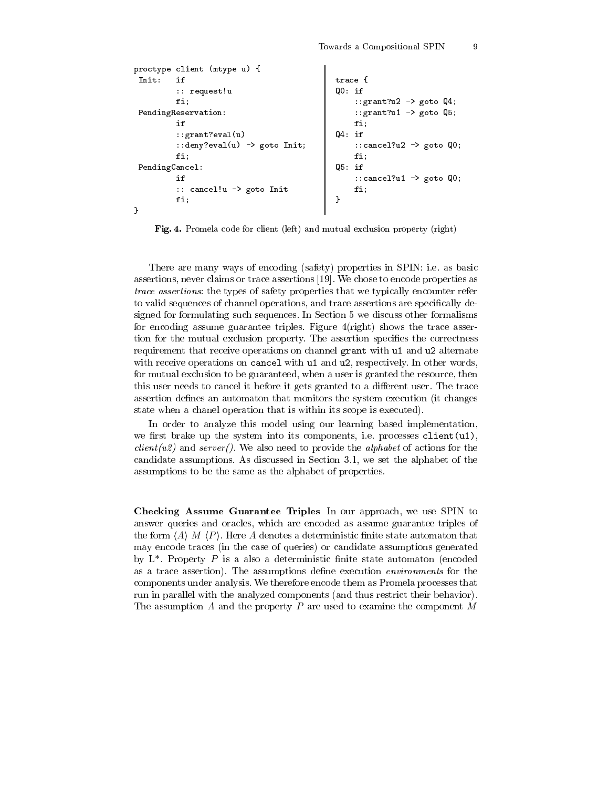```
proctype client (mtype u) {
   Init: if
                                                                                                                                                trace {
                                                                                                                                                Q0: if
                              :: request!u
                             fi;
                                                                                                                                                              ::grant?u2 -> goto Q4;
                                                                                                                                                              ::grant?u1 -> goto Q5;
  PendingReservation:
                              if
                                                                                                                                                             fi;
                              ::grant?eval(u)
                                                                                                                                                  \blacksquare if \blacksquare if \blacksquare if \blacksquare if \blacksquare if \blacksquare if \blacksquare if \blacksquare if \blacksquare if \blacksquare if \blacksquare if \blacksquare if \blacksquare if \blacksquare if \blacksquare if \blacksquare if \blacksquare if \blacksquare if \blacksquare if \blacksquare if \blacksquare if \blacksquare if ::deny?eval(u) -> goto Init;
                                                                                                                                                              ::cancel?u2 -> goto Q0;
                             fi:
                                                                                                                                                             fi;
                               figure 1. The contract of the contract of the contract of the contract of the contract of the contract of the contract of the contract of the contract of the contract of the contract of the contract of the contract of the 
   PendingCancel:
                                                                                                                                                Q5: if
                              if
                                                                                                                                                              ::cancel?u1 -> goto Q0;
                              :: cancel!u -> goto Init
                                                                                                                                                             fi;
                             fi:
                               figure 1. The contract of the contract of the contract of the contract of the contract of the contract of the contract of the contract of the contract of the contract of the contract of the contract of the contract of the 
                                                                                                                                                  }
ł
```
Fig. 4. Promela code for client (left) and mutual exclusion property (right)

}

There are many ways of encoding (safety) properties in SPIN: i.e. as basic assertions, never claims or trace assertions [19]. We chose to encode properties as trace assertions: the types of safety properties that we typically encounter refer to valid sequences of channel operations, and trace assertions are specifically designed for formulating such sequences. In Section 5 we discuss other formalisms for encoding assume guarantee triples. Figure 4(right) shows the trace assertion for the mutual exclusion property. The assertion specifies the correctness requirement that receive operations on channel grant with u1 and u2 alternate with receive operations on cancel with u1 and u2, respectively. In other words, for mutual exclusion to be guaranteed, when a user is granted the resource, then this user needs to cancel it before it gets granted to a different user. The trace assertion defines an automaton that monitors the system execution (it changes state when a chanel operation that is within its scope is executed).

In order to analyze this model using our learning based implementation, we first brake up the system into its components, i.e. processes client $(u_1)$ ,  $client(u2)$  and  $server()$ . We also need to provide the *alphabet* of actions for the candidate assumptions. As discussed in Section 3.1, we set the alphabet of the assumptions to be the same as the alphabet of properties.

Checking Assume Guarantee Triples In our approach, we use SPIN to answer queries and oracles, which are encoded as assume guarantee triples of the form  $\langle A \rangle$  M  $\langle P \rangle$ . Here A denotes a deterministic finite state automaton that may encode traces (in the case of queries) or candidate assumptions generated by  $L^*$ . Property P is a also a deterministic finite state automaton (encoded as a trace assertion). The assumptions define execution *environments* for the components under analysis. We therefore encode them as Promela processes that run in parallel with the analyzed components (and thus restrict their behavior). The assumption A and the property  $P$  are used to examine the component  $M$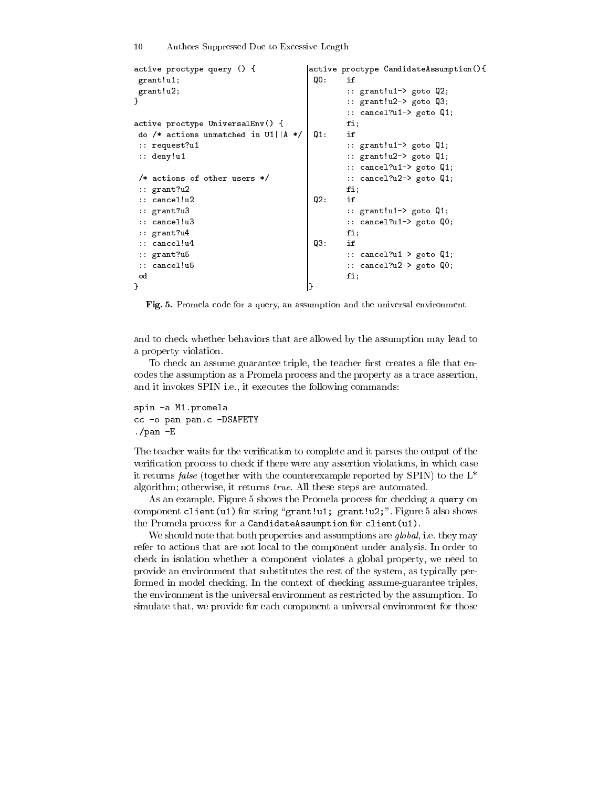```
active proctype CandidateAssumption(){
active proctype query () {
grant!u1;
                                                        if
                                                \blacksquare if the internal contract of \blacksquaregrant!u2;
                                                        :: grant!u1-> goto Q2;
                                                        :: grant!u2-> goto Q3;
ŀ
}
                                                        :: cancel?u1-> goto Q1;
active proctype UniversalEnv() {
                                                        fi;
do /* actions unmatched in U1||A */ | Q1:
                                                        if
                                                \mathcal{A} : if if \mathcal{A} is a set of \mathcal{A} if \mathcal{A} is a set of \mathcal{A} if \mathcal{A} is a set of \mathcal{A}:: request?u1
                                                        :: grant!u1-> goto Q1;
 :: deny!u1
                                                        :: grant!u2-> goto Q1;
                                                        :: cancel?u1-> goto Q1;
 /* actions of other users */
                                                        :: cancel?u2-> goto Q1;
 :: grant?u2
                                                        fi;
 :: cancel!u2
                                               Q2: if
 :: grant?u3
                                                        :: grant!u1-> goto Q1;
                                                        :: cancel?u1-> goto Q0;
 :: grant?u4
                                                        f_{1}:
                                                         = \frac{1}{2}Q3: if
 :: cancel!u4
 :: grant?u5
                                                        :: cancel?u1-> goto Q1;
 :: cancel!u5
                                                        :: cancel?u2-> goto Q0;
                                                        fi;
}
                                               }
```
Fig. 5. Promela code for a query, an assumption and the universal environment

and to check whether behaviors that are allowed by the assumption may lead to a property violation.

To check an assume guarantee triple, the teacher first creates a file that encodes the assumption as a Promela process and the property as a trace assertion, and it invokes SPIN i.e., it executes the following commands:

spin -a M1.promela cc -o pan pan.c -DSAFETY  $./$ pan  $-E$ 

The teacher waits for the verification to complete and it parses the output of the verification process to check if there were any assertion violations, in which case it returns false (together with the counterexample reported by SPIN) to the  $L^*$ algorithm; otherwise, it returns *true*. All these steps are automated.

As an example, Figure 5 shows the Promela process for checking a query on component client(u1) for string "grant!u1; grant!u2;". Figure 5 also shows the Promela process for a CandidateAssumption for client(u1).

We should note that both properties and assumptions are *global*, i.e. they may refer to actions that are not local to the component under analysis. In order to check in isolation whether a component violates a global property, we need to provide an environment that substitutes the rest of the system, as typically performed in model checking. In the context of checking assume-guarantee triples, the environment is the universal environment as restricted by the assumption. To simulate that, we provide for each component a universal environment for those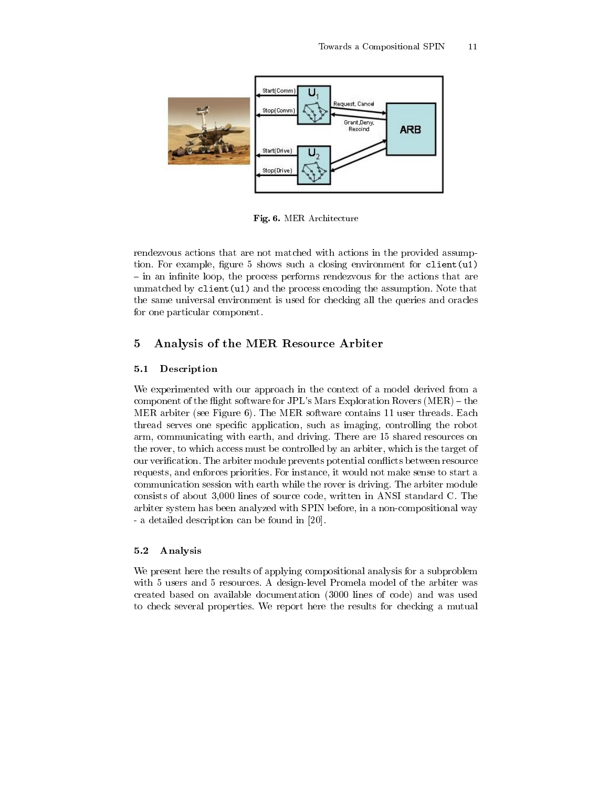

Fig. 6. MER Architecture

rendezvous actions that are not matched with actions in the provided assumption. For example, figure 5 shows such a closing environment for client  $(u1)$  $-$  in an infinite loop, the process performs rendezvous for the actions that are unmatched by client(u1) and the process encoding the assumption. Note that the same universal environment is used for checking all the queries and oracles for one particular component.

## 5 Analysis of the MER Resource Arbiter

#### 5.1 Description

We experimented with our approach in the context of a model derived from a component of the flight software for JPL's Mars Exploration Rovers (MER)  $-$  the MER arbiter (see Figure 6). The MER software contains 11 user threads. Each thread serves one specic application, such as imaging, controlling the robot arm, communicating with earth, and driving. There are 15 shared resources on the rover, to which access must be controlled by an arbiter, which is the target of our verification. The arbiter module prevents potential conflicts between resource requests, and enforces priorities. For instance, it would not make sense to start a communication session with earth while the rover is driving. The arbiter module consists of about 3,000 lines of source code, written in ANSI standard C. The arbiter system has been analyzed with SPIN before, in a non-compositional way - a detailed description can be found in [20].

#### 5.2 Analysis

We present here the results of applying compositional analysis for a subproblem with 5 users and 5 resources. A design-level Promela model of the arbiter was created based on available documentation (3000 lines of code) and was used to check several properties. We report here the results for checking a mutual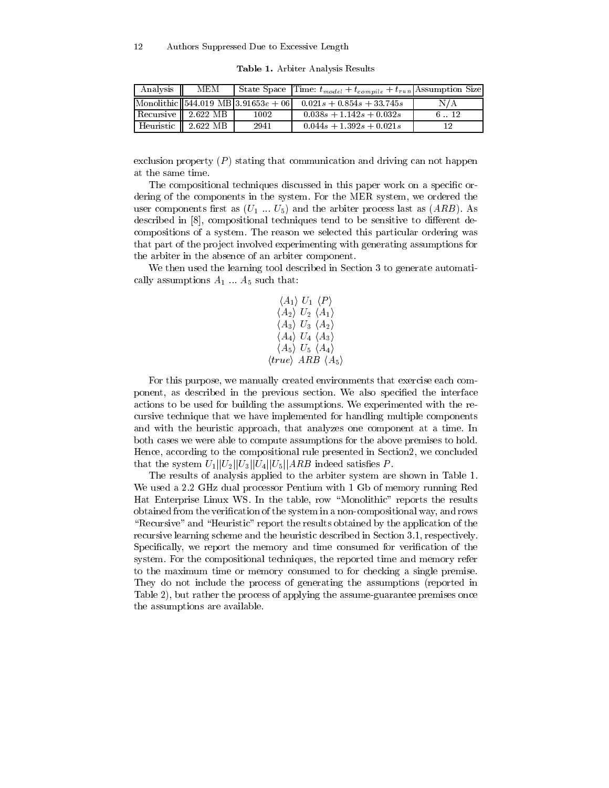| Analysis | MEM                   |                                                 | State Space Time: $t_{model} + t_{compile} + t_{run}$ Assumption Size |              |
|----------|-----------------------|-------------------------------------------------|-----------------------------------------------------------------------|--------------|
|          |                       | Monolithic $ 544.019 \text{ MB} 3.91653e + 06 $ | $0.021s + 0.854s + 33.745s$                                           | N/A          |
|          | Recursive    2.622 MB | 1002                                            | $0.038s + 1.142s + 0.032s$                                            | $6 \cdot 12$ |
|          | Heuristic    2.622 MB | 2941                                            | $0.044s + 1.392s + 0.021s$                                            |              |

Table 1. Arbiter Analysis Results

exclusion property  $(P)$  stating that communication and driving can not happen at the same time.

The compositional techniques discussed in this paper work on a specific ordering of the components in the system. For the MER system, we ordered the user components first as  $(U_1 \ldots U_5)$  and the arbiter process last as  $(ARB)$ . As described in  $[8]$ , compositional techniques tend to be sensitive to different decompositions of a system. The reason we selected this particular ordering was that part of the project involved experimenting with generating assumptions for the arbiter in the absence of an arbiter component.

We then used the learning tool described in Section 3 to generate automatically assumptions  $A_1 \ldots A_5$  such that:

> $\langle A_1 \rangle U_1 \langle P \rangle$  $\langle A_2 \rangle U_2 \langle A_1 \rangle$  $\langle A_3 \rangle U_3 \langle A_2 \rangle$  $\langle A_4 \rangle U_4 \langle A_3 \rangle$  $\langle A_5 \rangle U_5 \langle A_4 \rangle$  $\langle true \rangle$  ARB  $\langle A_5 \rangle$

For this purpose, we manually created environments that exercise each component, as described in the previous section. We also specified the interface actions to be used for building the assumptions. We experimented with the recursive technique that we have implemented for handling multiple components and with the heuristic approach, that analyzes one component at a time. In both cases we were able to compute assumptions for the above premises to hold. Hence, according to the compositional rule presented in Section2, we concluded that the system  $U_1||U_2||U_3||U_4||U_5||ARB$  indeed satisfies P.

The results of analysis applied to the arbiter system are shown in Table 1. We used a 2.2 GHz dual processor Pentium with 1 Gb of memory running Red Hat Enterprise Linux WS. In the table, row "Monolithic" reports the results obtained from the verification of the system in a non-compositional way, and rows "Recursive" and "Heuristic" report the results obtained by the application of the recursive learning scheme and the heuristic described in Section 3.1, respectively. Specifically, we report the memory and time consumed for verification of the system. For the compositional techniques, the reported time and memory refer to the maximum time or memory consumed to for checking a single premise. They do not include the process of generating the assumptions (reported in Table 2), but rather the process of applying the assume-guarantee premises once the assumptions are available.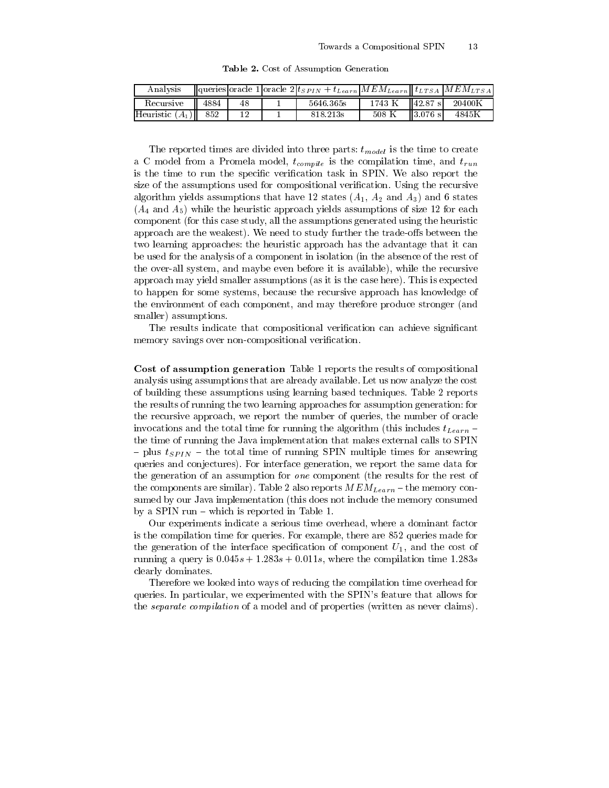Table 2. Cost of Assumption Generation

| Analysis             |      |    | $\left\ $ queries oracle $1$ oracle $2 ts_{PIN} + t_{Learn}$ $MEM_{Learn}$ $\left\ $ $t_{LTSA}$ $\right  MEM_{LTSA}$ |        |            |        |
|----------------------|------|----|----------------------------------------------------------------------------------------------------------------------|--------|------------|--------|
| Recursive            | 4884 | 48 | 5646.365s                                                                                                            | 1743 K | 142.87 s   | 20400K |
| Heuristic (<br>$A_1$ | 852  |    | 818.213s                                                                                                             | 508K   | $13.076$ s | 4845K  |

The reported times are divided into three parts:  $t_{model}$  is the time to create a C model from a Promela model,  $t_{compile}$  is the compilation time, and  $t_{run}$ is the time to run the specific verification task in SPIN. We also report the size of the assumptions used for compositional verification. Using the recursive algorithm yields assumptions that have 12 states  $(A_1, A_2 \text{ and } A_3)$  and 6 states  $(A_4 \text{ and } A_5)$  while the heuristic approach yields assumptions of size 12 for each component (for this case study, all the assumptions generated using the heuristic approach are the weakest). We need to study further the trade-offs between the two learning approaches: the heuristic approach has the advantage that it can be used for the analysis of a component in isolation (in the absence of the rest of the over-all system, and maybe even before it is available), while the recursive approach may yield smaller assumptions (as it is the case here). This is expected to happen for some systems, because the recursive approach has knowledge of the environment of each component, and may therefore produce stronger (and smaller) assumptions.

The results indicate that compositional verification can achieve significant memory savings over non-compositional verification.

Cost of assumption generation Table 1 reports the results of compositional analysis using assumptions that are already available. Let us now analyze the cost of building these assumptions using learning based techniques. Table 2 reports the results of running the two learning approaches for assumption generation: for the recursive approach, we report the number of queries, the number of oracle invocations and the total time for running the algorithm (this includes  $t_{Learn}$  = the time of running the Java implementation that makes external calls to SPIN  ${\rm -}$  plus  $t_{SPIN}$  – the total time of running SPIN multiple times for ansewring queries and conjectures). For interface generation, we report the same data for the generation of an assumption for one component (the results for the rest of the components are similar). Table 2 also reports  $MEM_{Learn}$  – the memory consumed by our Java implementation (this does not include the memory consumed by a SPIN run  $-\text{ which is reported in Table 1.}$ 

Our experiments indicate a serious time overhead, where a dominant factor is the compilation time for queries. For example, there are 852 queries made for the generation of the interface specification of component  $U_1$ , and the cost of running a query is  $0.045s + 1.283s + 0.011s$ , where the compilation time 1.283s clearly dominates.

Therefore we looked into ways of reducing the compilation time overhead for queries. In particular, we experimented with the SPIN's feature that allows for the separate compilation of a model and of properties (written as never claims).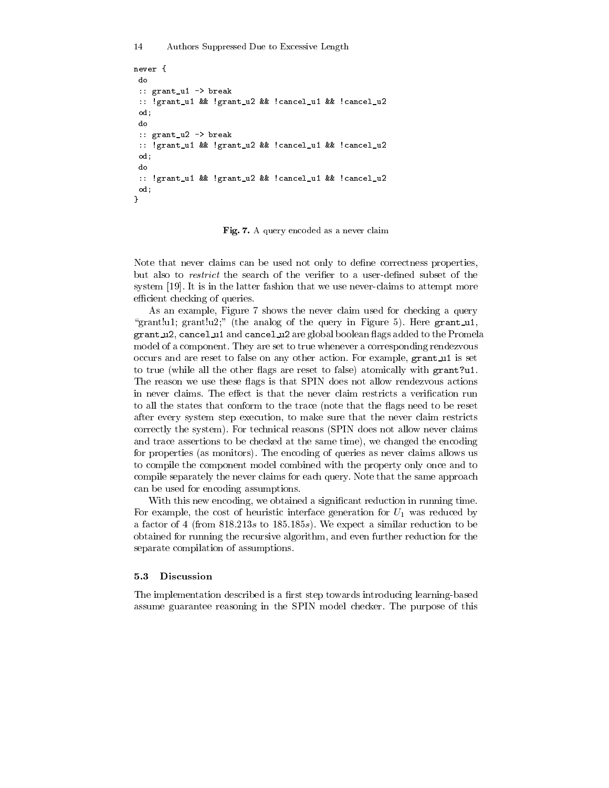```
never f
never a series of the series of the series of the series of the series of the series of the series of the series
 :: grant_u1 -> break
 :: !grant_u1 && !grant_u2 && !cancel_u1 && !cancel_u2
 od:
  od a structure of the structure of the structure of the structure of the structure of the structure of the structure
 do
 :: grant_u2 -> break
 :: !grant_u1 && !grant_u2 && !cancel_u1 && !cancel_u2
 od:
  od<sub>i</sub>
 :: !grant_u1 && !grant_u2 && !cancel_u1 && !cancel_u2
 od;
ł.
}
```
Fig. 7. A query encoded as a never claim

Note that never claims can be used not only to define correctness properties, but also to *restrict* the search of the verifier to a user-defined subset of the system [19]. It is in the latter fashion that we use never-claims to attempt more efficient checking of queries.

As an example, Figure 7 shows the never claim used for checking a query "grant!u1; grant!u2;" (the analog of the query in Figure 5). Here grant u1, grant u2, cancel u1 and cancel u2 are global boolean 
ags added to the Promela model of a component. They are set to true whenever a corresponding rendezvous occurs and are reset to false on any other action. For example, grant u1 is set to true (while all the other flags are reset to false) atomically with grant?u1. The reason we use these flags is that SPIN does not allow rendezvous actions in never claims. The effect is that the never claim restricts a verification run to all the states that conform to the trace (note that the flags need to be reset after every system step execution, to make sure that the never claim restricts correctly the system). For technical reasons (SPIN does not allow never claims and trace assertions to be checked at the same time), we changed the encoding for properties (as monitors). The encoding of queries as never claims allows us to compile the component model combined with the property only once and to compile separately the never claims for each query. Note that the same approach can be used for encoding assumptions.

With this new encoding, we obtained a significant reduction in running time. For example, the cost of heuristic interface generation for  $U_1$  was reduced by a factor of 4 (from 818:213s to 185:185s). We expect a similar reduction to be obtained for running the recursive algorithm, and even further reduction for the separate compilation of assumptions.

The implementation described is a first step towards introducing learning-based assume guarantee reasoning in the SPIN model checker. The purpose of this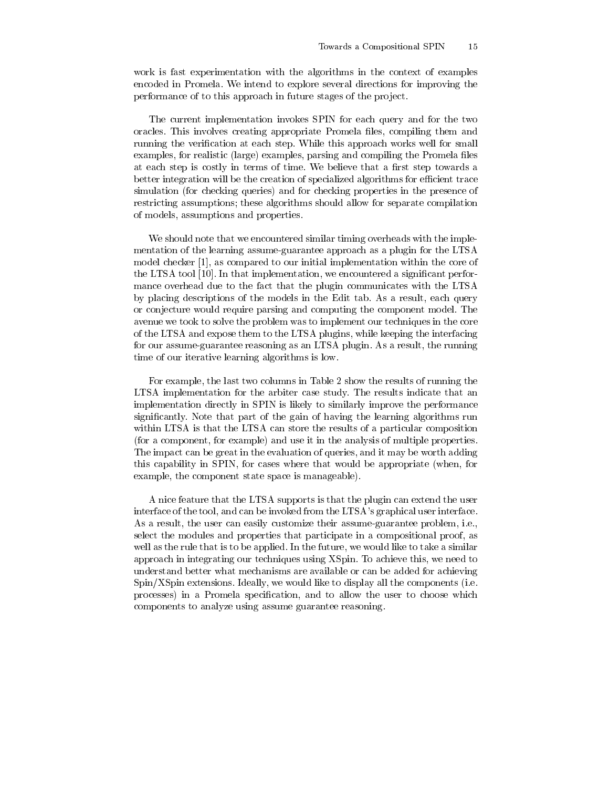work is fast experimentation with the algorithms in the context of examples encoded in Promela. We intend to explore several directions for improving the performance of to this approach in future stages of the project.

The current implementation invokes SPIN for each query and for the two oracles. This involves creating appropriate Promela files, compiling them and running the verification at each step. While this approach works well for small examples, for realistic (large) examples, parsing and compiling the Promela files at each step is costly in terms of time. We believe that a first step towards a better integration will be the creation of specialized algorithms for efficient trace simulation (for checking queries) and for checking properties in the presence of restricting assumptions; these algorithms should allow for separate compilation of models, assumptions and properties.

We should note that we encountered similar timing overheads with the implementation of the learning assume-guarantee approach as a plugin for the LTSA model checker [1], as compared to our initial implementation within the core of the LTSA tool [10]. In that implementation, we encountered a significant performance overhead due to the fact that the plugin communicates with the LTSA by placing descriptions of the models in the Edit tab. As a result, each query or conjecture would require parsing and computing the component model. The avenue we took to solve the problem was to implement our techniques in the core of the LTSA and expose them to the LTSA plugins, while keeping the interfacing for our assume-guarantee reasoning as an LTSA plugin. As a result, the running time of our iterative learning algorithms is low.

For example, the last two columns in Table 2 show the results of running the LTSA implementation for the arbiter case study. The results indicate that an implementation directly in SPIN is likely to similarly improve the performance signicantly. Note that part of the gain of having the learning algorithms run within LTSA is that the LTSA can store the results of a particular composition (for a component, for example) and use it in the analysis of multiple properties. The impact can be great in the evaluation of queries, and it may be worth adding this capability in SPIN, for cases where that would be appropriate (when, for example, the component state space is manageable).

A nice feature that the LTSA supports is that the plugin can extend the user interface of the tool, and can be invoked from the LTSA's graphical user interface. As a result, the user can easily customize their assume-guarantee problem, i.e., select the modules and properties that participate in a compositional proof, as well as the rule that is to be applied. In the future, we would like to take a similar approach in integrating our techniques using XSpin. To achieve this, we need to understand better what mechanisms are available or can be added for achieving Spin/XSpin extensions. Ideally, we would like to display all the components (i.e. processes) in a Promela specification, and to allow the user to choose which components to analyze using assume guarantee reasoning.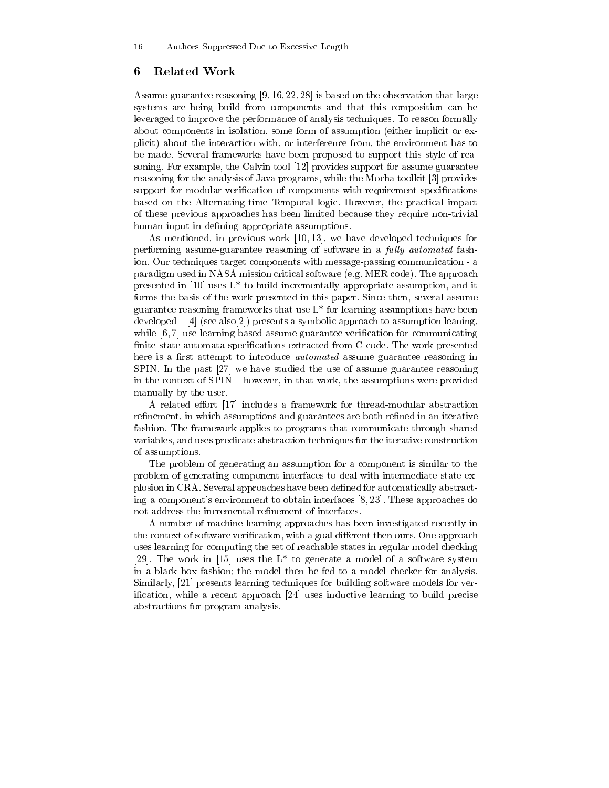#### Related Work 6

Assume-guarantee reasoning [9, 16, 22, 28] is based on the observation that large systems are being build from components and that this composition can be leveraged to improve the performance of analysis techniques. To reason formally about components in isolation, some form of assumption (either implicit or explicit) about the interaction with, or interference from, the environment has to be made. Several frameworks have been proposed to support this style of reasoning. For example, the Calvin tool [12] provides support for assume guarantee reasoning for the analysis of Java programs, while the Mocha toolkit [3] provides support for modular verification of components with requirement specifications based on the Alternating-time Temporal logic. However, the practical impact of these previous approaches has been limited because they require non-trivial human input in defining appropriate assumptions.

As mentioned, in previous work [10, 13], we have developed techniques for performing assume-guarantee reasoning of software in a *fully automated* fashion. Our techniques target components with message-passing communication - a paradigm used in NASA mission critical software (e.g. MER code). The approach presented in [10] uses L\* to build incrementally appropriate assumption, and it forms the basis of the work presented in this paper. Since then, several assume guarantee reasoning frameworks that use  $L^*$  for learning assumptions have been developed  $-[4]$  (see also[2]) presents a symbolic approach to assumption leaning, while [6, 7] use learning based assume guarantee verification for communicating finite state automata specifications extracted from C code. The work presented here is a first attempt to introduce *automated* assume guarantee reasoning in SPIN. In the past [27] we have studied the use of assume guarantee reasoning in the context of  $SPIN$  – however, in that work, the assumptions were provided manually by the user.

A related effort [17] includes a framework for thread-modular abstraction refinement, in which assumptions and guarantees are both refined in an iterative fashion. The framework applies to programs that communicate through shared variables, and uses predicate abstraction techniques for the iterative construction of assumptions.

The problem of generating an assumption for a component is similar to the problem of generating component interfaces to deal with intermediate state explosion in CRA. Several approaches have been defined for automatically abstracting a component's environment to obtain interfaces [8, 23]. These approaches do not address the incremental refinement of interfaces.

A number of machine learning approaches has been investigated recently in the context of software verification, with a goal different then ours. One approach uses learning for computing the set of reachable states in regular model checking [29]. The work in [15] uses the  $L^*$  to generate a model of a software system in a black box fashion; the model then be fed to a model checker for analysis. Similarly, [21] presents learning techniques for building software models for verification, while a recent approach  $[24]$  uses inductive learning to build precise abstractions for program analysis.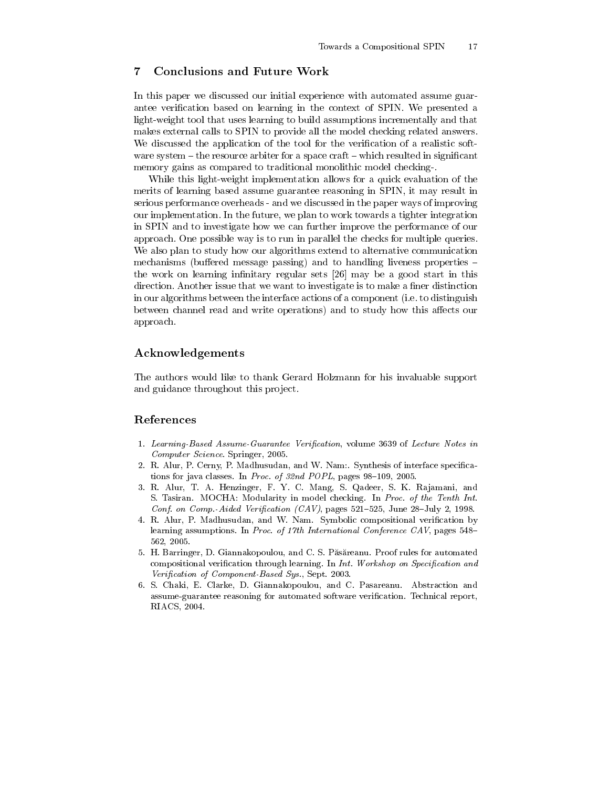#### $\overline{7}$ **Conclusions and Future Work**

In this paper we discussed our initial experience with automated assume guarantee verification based on learning in the context of SPIN. We presented a light-weight tool that uses learning to build assumptions incrementally and that makes external calls to SPIN to provide all the model checking related answers. We discussed the application of the tool for the verification of a realistic software system  $-$  the resource arbiter for a space craft  $-$  which resulted in significant memory gains as compared to traditional monolithic model checking-.

While this light-weight implementation allows for a quick evaluation of the merits of learning based assume guarantee reasoning in SPIN, it may result in serious performance overheads - and we discussed in the paper ways of improving our implementation. In the future, we plan to work towards a tighter integration in SPIN and to investigate how we can further improve the performance of our approach. One possible way is to run in parallel the checks for multiple queries. We also plan to study how our algorithms extend to alternative communication mechanisms (buffered message passing) and to handling liveness properties  $$ the work on learning infinitary regular sets [26] may be a good start in this direction. Another issue that we want to investigate is to make a finer distinction in our algorithms between the interface actions of a component (i.e. to distinguish between channel read and write operations) and to study how this affects our approach.

### Acknowledgements

The authors would like to thank Gerard Holzmann for his invaluable support and guidance throughout this project.

## References

- 1. Learning-Based Assume-Guarantee Verication, volume 3639 of Lecture Notes in Computer Science. Springer, 2005.
- 2. R. Alur, P. Cerny, P. Madhusudan, and W. Nam:. Synthesis of interface specications for java classes. In Proc. of  $32nd$  POPL, pages  $98-109$ , 2005.
- 3. R. Alur, T. A. Henzinger, F. Y. C. Mang, S. Qadeer, S. K. Rajamani, and S. Tasiran. MOCHA: Modularity in model checking. In Proc. of the Tenth Int. Conf. on Comp.-Aided Verification  $(CAV)$ , pages 521-525, June 28-July 2, 1998.
- 4. R. Alur, P. Madhusudan, and W. Nam. Symbolic compositional verication by learning assumptions. In Proc. of 17th International Conference CAV, pages 548-562, 2005.
- 5. H. Barringer, D. Giannakopoulou, and C. S. Pasareanu. Proof rules for automated compositional verification through learning. In Int. Workshop on Specification and Verification of Component-Based Sys., Sept. 2003.
- 6. S. Chaki, E. Clarke, D. Giannakopoulou, and C. Pasareanu. Abstraction and assume-guarantee reasoning for automated software verification. Technical report, RIACS, 2004.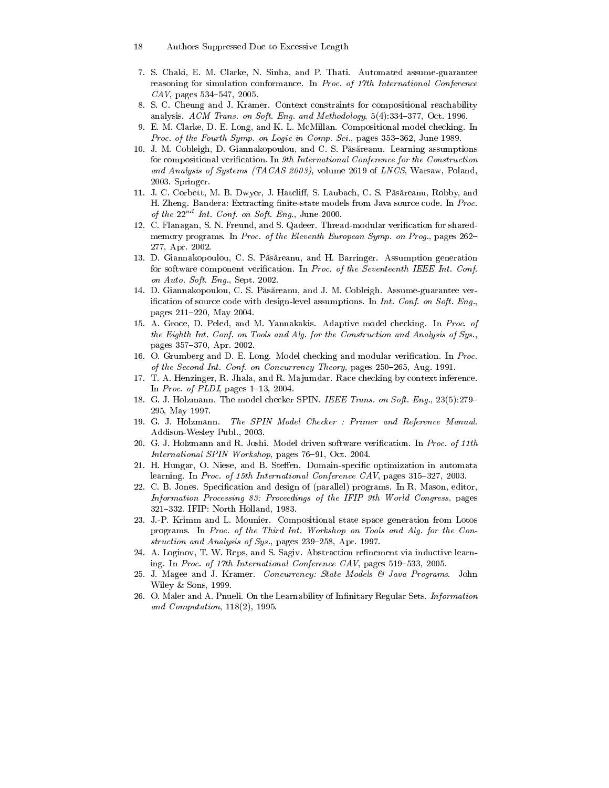- 18 Authors Suppressed Due to Excessive Length
- 7. S. Chaki, E. M. Clarke, N. Sinha, and P. Thati. Automated assume-guarantee reasoning for simulation conformance. In Proc. of 17th International Conference  $CAV$ , pages  $534-547$ , 2005.
- 8. S. C. Cheung and J. Kramer. Context constraints for compositional reachability analysis.  $ACM$  Trans. on Soft. Eng. and Methodology,  $5(4):334-377$ , Oct. 1996.
- 9. E. M. Clarke, D. E. Long, and K. L. McMillan. Compositional model checking. In *Proc. of the Fourth Symp. on Logic in Comp. Sci.*, pages  $353-362$ , June 1989.
- 10. J. M. Cobleigh, D. Giannakopoulou, and C. S. Pasareanu. Learning assumptions for compositional verification. In 9th International Conference for the Construction and Analysis of Systems (TACAS 2003), volume 2619 of LNCS, Warsaw, Poland, 2003. Springer.
- 11. J. C. Corbett, M. B. Dwyer, J. Hatcliff, S. Laubach, C. S. Păsăreanu, Robby, and H. Zheng. Bandera: Extracting finite-state models from Java source code. In Proc. of the  $22^{nd}$  Int. Conf. on Soft. Eng., June 2000.
- 12. C. Flanagan, S. N. Freund, and S. Qadeer. Thread-modular verification for sharedmemory programs. In Proc. of the Eleventh European Symp. on Prog., pages 262-277, Apr. 2002.
- 13. D. Giannakopoulou, C. S. Pasareanu, and H. Barringer. Assumption generation for software component verification. In Proc. of the Seventeenth IEEE Int. Conf. on Auto. Soft. Eng., Sept. 2002.
- 14. D. Giannakopoulou, C. S. Pasareanu, and J. M. Cobleigh. Assume-guarantee verification of source code with design-level assumptions. In *Int. Conf. on Soft. Eng.*, pages 211-220, May 2004.
- 15. A. Groce, D. Peled, and M. Yannakakis. Adaptive model checking. In Proc. of the Eighth Int. Conf. on Tools and Alg. for the Construction and Analysis of Sys., pages 357-370, Apr. 2002.
- 16. O. Grumberg and D. E. Long. Model checking and modular verification. In Proc. of the Second Int. Conf. on Concurrency Theory, pages 250-265, Aug. 1991.
- 17. T. A. Henzinger, R. Jhala, and R. Ma jumdar. Race checking by context inference. In Proc. of PLDI, pages  $1-13$ , 2004.
- 18. G. J. Holzmann. The model checker SPIN. IEEE Trans. on Soft. Eng., 23(5):279-295, May 1997.
- 19. G. J. Holzmann. The SPIN Model Checker : Primer and Reference Manual. Addison-Wesley Publ., 2003.
- 20. G. J. Holzmann and R. Joshi. Model driven software verication. In Proc. of 11th International SPIN Workshop, pages 76-91, Oct. 2004.
- 21. H. Hungar, O. Niese, and B. Steffen. Domain-specific optimization in automata learning. In Proc. of 15th International Conference CAV, pages 315-327, 2003.
- 22. C. B. Jones. Specication and design of (parallel) programs. In R. Mason, editor, Information Processing 83: Proceedings of the IFIP 9th World Congress, pages 321-332. IFIP: North Holland, 1983.
- 23. J.-P. Krimm and L. Mounier. Compositional state space generation from Lotos programs. In Proc. of the Third Int. Workshop on Tools and Alg. for the Construction and Analysis of Sys., pages  $239-258$ , Apr. 1997.
- 24. A. Loginov, T. W. Reps, and S. Sagiv. Abstraction refinement via inductive learning. In Proc. of 17th International Conference CAV, pages  $519-533$ , 2005.
- 25. J. Magee and J. Kramer. Concurrency: State Models & Java Programs. John Wiley & Sons, 1999.
- 26. O. Maler and A. Pnueli. On the Learnability of Infinitary Regular Sets. Information and Computation, 118(2), 1995.